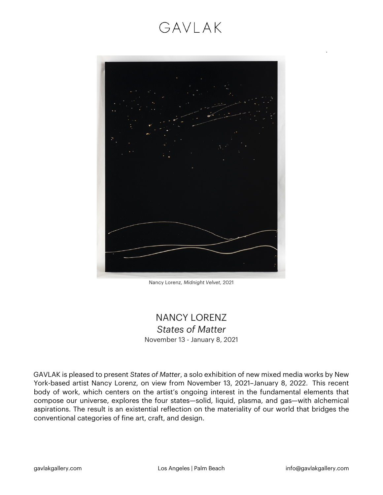# GAVLAK



Nancy Lorenz, *Midnight Velvet*, 2021

#### NANCY LORENZ *States of Matter* November 13 - January 8, 2021

GAVLAK is pleased to present *States of Matter*, a solo exhibition of new mixed media works by New York-based artist Nancy Lorenz, on view from November 13, 2021–January 8, 2022. This recent body of work, which centers on the artist's ongoing interest in the fundamental elements that compose our universe, explores the four states—solid, liquid, plasma, and gas—with alchemical aspirations. The result is an existential reflection on the materiality of our world that bridges the conventional categories of fine art, craft, and design.

.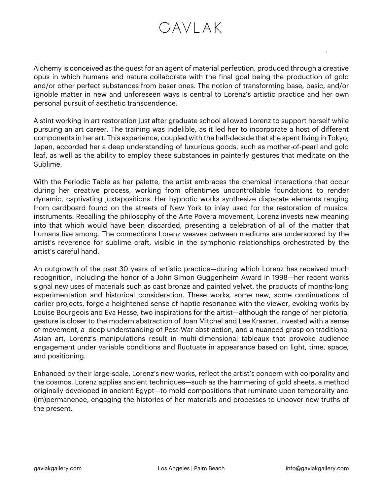## GAVI AK

Alchemy is conceived as the quest for an agent of material perfection, produced through a creative opus in which humans and nature collaborate with the final goal being the production of gold and/or other perfect substances from baser ones. The notion of transforming base, basic, and/or ignoble matter in new and unforeseen ways is central to Lorenz's artistic practice and her own personal pursuit of aesthetic transcendence.

A stint working in art restoration just after graduate school allowed Lorenz to support herself while pursuing an art career. The training was indelible, as it led her to incorporate a host of different components in her art. This experience, coupled with the half-decade that she spent living in Tokyo, Japan, accorded her a deep understanding of luxurious goods, such as mother-of-pearl and gold leaf, as well as the ability to employ these substances in painterly gestures that meditate on the Sublime.

With the Periodic Table as her palette, the artist embraces the chemical interactions that occur during her creative process, working from oftentimes uncontrollable foundations to render dynamic, captivating juxtapositions. Her hypnotic works synthesize disparate elements ranging from cardboard found on the streets of New York to inlay used for the restoration of musical instruments. Recalling the philosophy of the Arte Povera movement, Lorenz invests new meaning into that which would have been discarded, presenting a celebration of all of the matter that humans live among. The connections Lorenz weaves between mediums are underscored by the artist's reverence for sublime craft, visible in the symphonic relationships orchestrated by the artist's careful hand.

An outgrowth of the past 30 years of artistic practice—during which Lorenz has received much recognition, including the honor of a John Simon Guggenheim Award in 1998—her recent works signal new uses of materials such as cast bronze and painted velvet, the products of months-long experimentation and historical consideration. These works, some new, some continuations of earlier projects, forge a heightened sense of haptic resonance with the viewer, evoking works by Louise Bourgeois and Eva Hesse, two inspirations for the artist—although the range of her pictorial gesture is closer to the modern abstraction of Joan Mitchel and Lee Krasner. Invested with a sense of movement, a deep understanding of Post-War abstraction, and a nuanced grasp on traditional Asian art, Lorenz's manipulations result in multi-dimensional tableaux that provoke audience engagement under variable conditions and fluctuate in appearance based on light, time, space, and positioning.

Enhanced by their large-scale, Lorenz's new works, reflect the artist's concern with corporality and the cosmos. Lorenz applies ancient techniques—such as the hammering of gold sheets, a method originally developed in ancient Egypt—to mold compositions that ruminate upon temporality and (im)permanence, engaging the histories of her materials and processes to uncover new truths of the present.

.